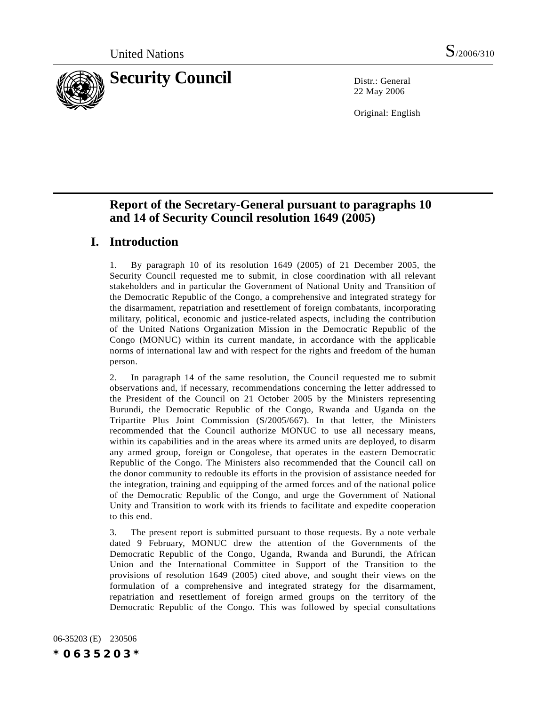

22 May 2006

Original: English

# **Report of the Secretary-General pursuant to paragraphs 10 and 14 of Security Council resolution 1649 (2005)**

## **I. Introduction**

1. By paragraph 10 of its resolution 1649 (2005) of 21 December 2005, the Security Council requested me to submit, in close coordination with all relevant stakeholders and in particular the Government of National Unity and Transition of the Democratic Republic of the Congo, a comprehensive and integrated strategy for the disarmament, repatriation and resettlement of foreign combatants, incorporating military, political, economic and justice-related aspects, including the contribution of the United Nations Organization Mission in the Democratic Republic of the Congo (MONUC) within its current mandate, in accordance with the applicable norms of international law and with respect for the rights and freedom of the human person.

2. In paragraph 14 of the same resolution, the Council requested me to submit observations and, if necessary, recommendations concerning the letter addressed to the President of the Council on 21 October 2005 by the Ministers representing Burundi, the Democratic Republic of the Congo, Rwanda and Uganda on the Tripartite Plus Joint Commission (S/2005/667). In that letter, the Ministers recommended that the Council authorize MONUC to use all necessary means, within its capabilities and in the areas where its armed units are deployed, to disarm any armed group, foreign or Congolese, that operates in the eastern Democratic Republic of the Congo. The Ministers also recommended that the Council call on the donor community to redouble its efforts in the provision of assistance needed for the integration, training and equipping of the armed forces and of the national police of the Democratic Republic of the Congo, and urge the Government of National Unity and Transition to work with its friends to facilitate and expedite cooperation to this end.

3. The present report is submitted pursuant to those requests. By a note verbale dated 9 February, MONUC drew the attention of the Governments of the Democratic Republic of the Congo, Uganda, Rwanda and Burundi, the African Union and the International Committee in Support of the Transition to the provisions of resolution 1649 (2005) cited above, and sought their views on the formulation of a comprehensive and integrated strategy for the disarmament, repatriation and resettlement of foreign armed groups on the territory of the Democratic Republic of the Congo. This was followed by special consultations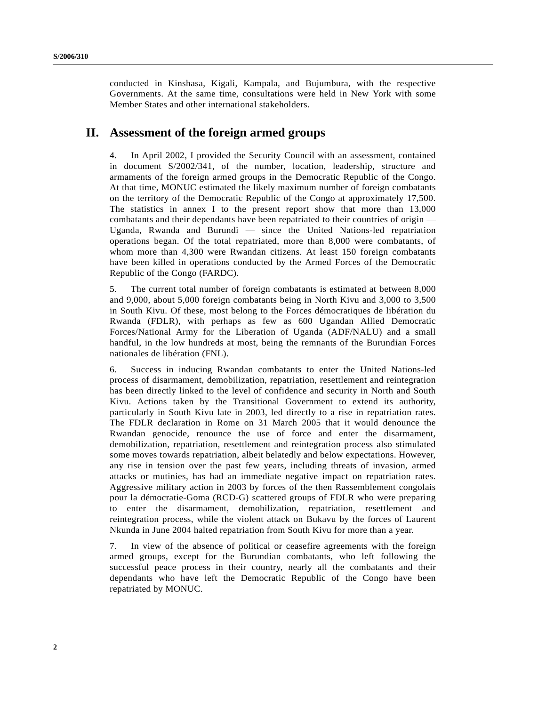conducted in Kinshasa, Kigali, Kampala, and Bujumbura, with the respective Governments. At the same time, consultations were held in New York with some Member States and other international stakeholders.

## **II. Assessment of the foreign armed groups**

4. In April 2002, I provided the Security Council with an assessment, contained in document S/2002/341, of the number, location, leadership, structure and armaments of the foreign armed groups in the Democratic Republic of the Congo. At that time, MONUC estimated the likely maximum number of foreign combatants on the territory of the Democratic Republic of the Congo at approximately 17,500. The statistics in annex I to the present report show that more than 13,000 combatants and their dependants have been repatriated to their countries of origin — Uganda, Rwanda and Burundi — since the United Nations-led repatriation operations began. Of the total repatriated, more than 8,000 were combatants, of whom more than 4,300 were Rwandan citizens. At least 150 foreign combatants have been killed in operations conducted by the Armed Forces of the Democratic Republic of the Congo (FARDC).

5. The current total number of foreign combatants is estimated at between 8,000 and 9,000, about 5,000 foreign combatants being in North Kivu and 3,000 to 3,500 in South Kivu. Of these, most belong to the Forces démocratiques de libération du Rwanda (FDLR), with perhaps as few as 600 Ugandan Allied Democratic Forces/National Army for the Liberation of Uganda (ADF/NALU) and a small handful, in the low hundreds at most, being the remnants of the Burundian Forces nationales de libération (FNL).

6. Success in inducing Rwandan combatants to enter the United Nations-led process of disarmament, demobilization, repatriation, resettlement and reintegration has been directly linked to the level of confidence and security in North and South Kivu. Actions taken by the Transitional Government to extend its authority, particularly in South Kivu late in 2003, led directly to a rise in repatriation rates. The FDLR declaration in Rome on 31 March 2005 that it would denounce the Rwandan genocide, renounce the use of force and enter the disarmament, demobilization, repatriation, resettlement and reintegration process also stimulated some moves towards repatriation, albeit belatedly and below expectations. However, any rise in tension over the past few years, including threats of invasion, armed attacks or mutinies, has had an immediate negative impact on repatriation rates. Aggressive military action in 2003 by forces of the then Rassemblement congolais pour la démocratie-Goma (RCD-G) scattered groups of FDLR who were preparing to enter the disarmament, demobilization, repatriation, resettlement and reintegration process, while the violent attack on Bukavu by the forces of Laurent Nkunda in June 2004 halted repatriation from South Kivu for more than a year.

7. In view of the absence of political or ceasefire agreements with the foreign armed groups, except for the Burundian combatants, who left following the successful peace process in their country, nearly all the combatants and their dependants who have left the Democratic Republic of the Congo have been repatriated by MONUC.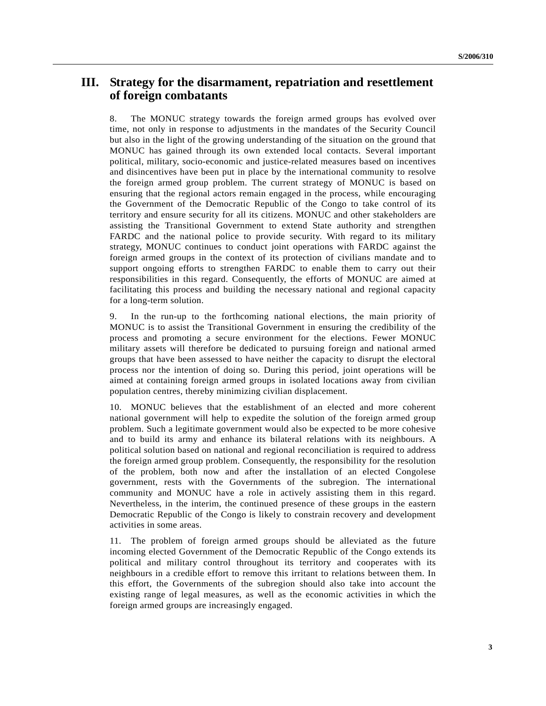## **III. Strategy for the disarmament, repatriation and resettlement of foreign combatants**

8. The MONUC strategy towards the foreign armed groups has evolved over time, not only in response to adjustments in the mandates of the Security Council but also in the light of the growing understanding of the situation on the ground that MONUC has gained through its own extended local contacts. Several important political, military, socio-economic and justice-related measures based on incentives and disincentives have been put in place by the international community to resolve the foreign armed group problem. The current strategy of MONUC is based on ensuring that the regional actors remain engaged in the process, while encouraging the Government of the Democratic Republic of the Congo to take control of its territory and ensure security for all its citizens. MONUC and other stakeholders are assisting the Transitional Government to extend State authority and strengthen FARDC and the national police to provide security. With regard to its military strategy, MONUC continues to conduct joint operations with FARDC against the foreign armed groups in the context of its protection of civilians mandate and to support ongoing efforts to strengthen FARDC to enable them to carry out their responsibilities in this regard. Consequently, the efforts of MONUC are aimed at facilitating this process and building the necessary national and regional capacity for a long-term solution.

9. In the run-up to the forthcoming national elections, the main priority of MONUC is to assist the Transitional Government in ensuring the credibility of the process and promoting a secure environment for the elections. Fewer MONUC military assets will therefore be dedicated to pursuing foreign and national armed groups that have been assessed to have neither the capacity to disrupt the electoral process nor the intention of doing so. During this period, joint operations will be aimed at containing foreign armed groups in isolated locations away from civilian population centres, thereby minimizing civilian displacement.

10. MONUC believes that the establishment of an elected and more coherent national government will help to expedite the solution of the foreign armed group problem. Such a legitimate government would also be expected to be more cohesive and to build its army and enhance its bilateral relations with its neighbours. A political solution based on national and regional reconciliation is required to address the foreign armed group problem. Consequently, the responsibility for the resolution of the problem, both now and after the installation of an elected Congolese government, rests with the Governments of the subregion. The international community and MONUC have a role in actively assisting them in this regard. Nevertheless, in the interim, the continued presence of these groups in the eastern Democratic Republic of the Congo is likely to constrain recovery and development activities in some areas.

11. The problem of foreign armed groups should be alleviated as the future incoming elected Government of the Democratic Republic of the Congo extends its political and military control throughout its territory and cooperates with its neighbours in a credible effort to remove this irritant to relations between them. In this effort, the Governments of the subregion should also take into account the existing range of legal measures, as well as the economic activities in which the foreign armed groups are increasingly engaged.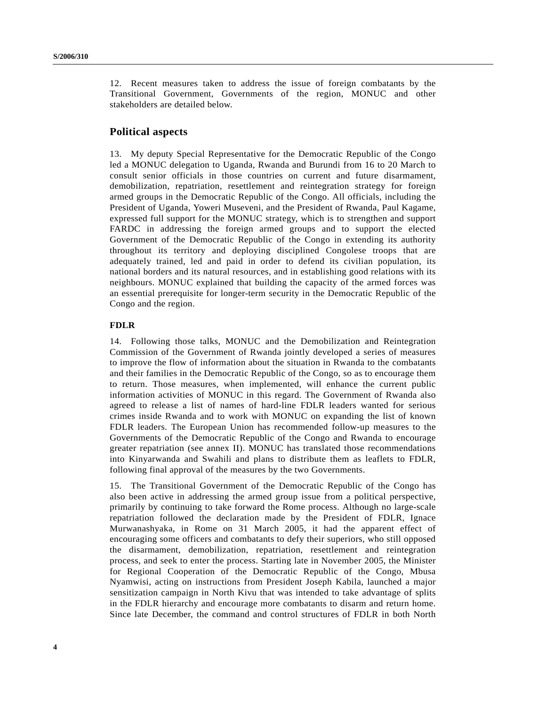12. Recent measures taken to address the issue of foreign combatants by the Transitional Government, Governments of the region, MONUC and other stakeholders are detailed below.

### **Political aspects**

13. My deputy Special Representative for the Democratic Republic of the Congo led a MONUC delegation to Uganda, Rwanda and Burundi from 16 to 20 March to consult senior officials in those countries on current and future disarmament, demobilization, repatriation, resettlement and reintegration strategy for foreign armed groups in the Democratic Republic of the Congo. All officials, including the President of Uganda, Yoweri Museveni, and the President of Rwanda, Paul Kagame, expressed full support for the MONUC strategy, which is to strengthen and support FARDC in addressing the foreign armed groups and to support the elected Government of the Democratic Republic of the Congo in extending its authority throughout its territory and deploying disciplined Congolese troops that are adequately trained, led and paid in order to defend its civilian population, its national borders and its natural resources, and in establishing good relations with its neighbours. MONUC explained that building the capacity of the armed forces was an essential prerequisite for longer-term security in the Democratic Republic of the Congo and the region.

#### **FDLR**

14. Following those talks, MONUC and the Demobilization and Reintegration Commission of the Government of Rwanda jointly developed a series of measures to improve the flow of information about the situation in Rwanda to the combatants and their families in the Democratic Republic of the Congo, so as to encourage them to return. Those measures, when implemented, will enhance the current public information activities of MONUC in this regard. The Government of Rwanda also agreed to release a list of names of hard-line FDLR leaders wanted for serious crimes inside Rwanda and to work with MONUC on expanding the list of known FDLR leaders. The European Union has recommended follow-up measures to the Governments of the Democratic Republic of the Congo and Rwanda to encourage greater repatriation (see annex II). MONUC has translated those recommendations into Kinyarwanda and Swahili and plans to distribute them as leaflets to FDLR, following final approval of the measures by the two Governments.

15. The Transitional Government of the Democratic Republic of the Congo has also been active in addressing the armed group issue from a political perspective, primarily by continuing to take forward the Rome process. Although no large-scale repatriation followed the declaration made by the President of FDLR, Ignace Murwanashyaka, in Rome on 31 March 2005, it had the apparent effect of encouraging some officers and combatants to defy their superiors, who still opposed the disarmament, demobilization, repatriation, resettlement and reintegration process, and seek to enter the process. Starting late in November 2005, the Minister for Regional Cooperation of the Democratic Republic of the Congo, Mbusa Nyamwisi, acting on instructions from President Joseph Kabila, launched a major sensitization campaign in North Kivu that was intended to take advantage of splits in the FDLR hierarchy and encourage more combatants to disarm and return home. Since late December, the command and control structures of FDLR in both North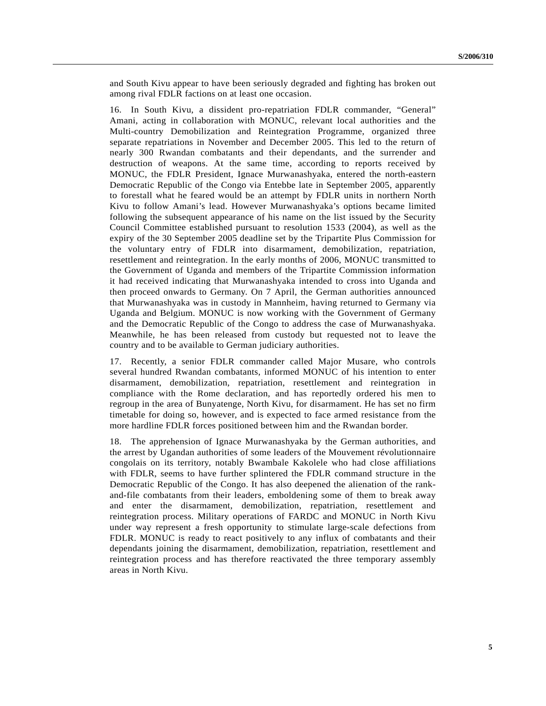and South Kivu appear to have been seriously degraded and fighting has broken out among rival FDLR factions on at least one occasion.

16. In South Kivu, a dissident pro-repatriation FDLR commander, "General" Amani, acting in collaboration with MONUC, relevant local authorities and the Multi-country Demobilization and Reintegration Programme, organized three separate repatriations in November and December 2005. This led to the return of nearly 300 Rwandan combatants and their dependants, and the surrender and destruction of weapons. At the same time, according to reports received by MONUC, the FDLR President, Ignace Murwanashyaka, entered the north-eastern Democratic Republic of the Congo via Entebbe late in September 2005, apparently to forestall what he feared would be an attempt by FDLR units in northern North Kivu to follow Amani's lead. However Murwanashyaka's options became limited following the subsequent appearance of his name on the list issued by the Security Council Committee established pursuant to resolution 1533 (2004), as well as the expiry of the 30 September 2005 deadline set by the Tripartite Plus Commission for the voluntary entry of FDLR into disarmament, demobilization, repatriation, resettlement and reintegration. In the early months of 2006, MONUC transmitted to the Government of Uganda and members of the Tripartite Commission information it had received indicating that Murwanashyaka intended to cross into Uganda and then proceed onwards to Germany. On 7 April, the German authorities announced that Murwanashyaka was in custody in Mannheim, having returned to Germany via Uganda and Belgium. MONUC is now working with the Government of Germany and the Democratic Republic of the Congo to address the case of Murwanashyaka. Meanwhile, he has been released from custody but requested not to leave the country and to be available to German judiciary authorities.

17. Recently, a senior FDLR commander called Major Musare, who controls several hundred Rwandan combatants, informed MONUC of his intention to enter disarmament, demobilization, repatriation, resettlement and reintegration in compliance with the Rome declaration, and has reportedly ordered his men to regroup in the area of Bunyatenge, North Kivu, for disarmament. He has set no firm timetable for doing so, however, and is expected to face armed resistance from the more hardline FDLR forces positioned between him and the Rwandan border.

18. The apprehension of Ignace Murwanashyaka by the German authorities, and the arrest by Ugandan authorities of some leaders of the Mouvement révolutionnaire congolais on its territory, notably Bwambale Kakolele who had close affiliations with FDLR, seems to have further splintered the FDLR command structure in the Democratic Republic of the Congo. It has also deepened the alienation of the rankand-file combatants from their leaders, emboldening some of them to break away and enter the disarmament, demobilization, repatriation, resettlement and reintegration process. Military operations of FARDC and MONUC in North Kivu under way represent a fresh opportunity to stimulate large-scale defections from FDLR. MONUC is ready to react positively to any influx of combatants and their dependants joining the disarmament, demobilization, repatriation, resettlement and reintegration process and has therefore reactivated the three temporary assembly areas in North Kivu.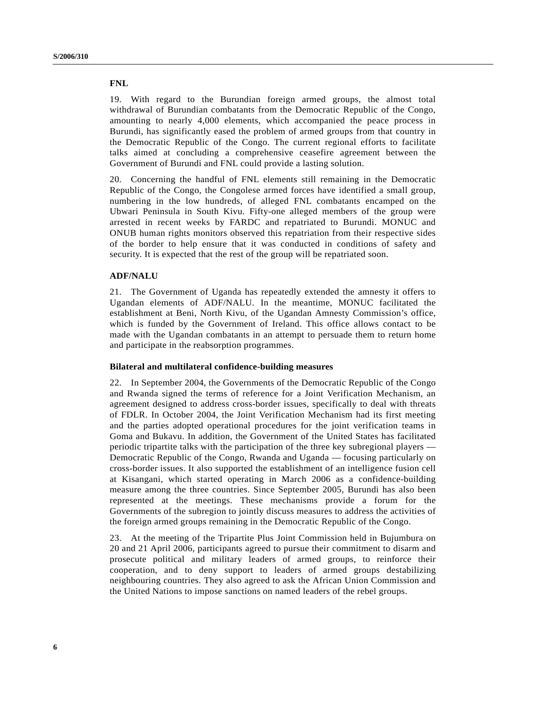#### **FNL**

19. With regard to the Burundian foreign armed groups, the almost total withdrawal of Burundian combatants from the Democratic Republic of the Congo, amounting to nearly 4,000 elements, which accompanied the peace process in Burundi, has significantly eased the problem of armed groups from that country in the Democratic Republic of the Congo. The current regional efforts to facilitate talks aimed at concluding a comprehensive ceasefire agreement between the Government of Burundi and FNL could provide a lasting solution.

20. Concerning the handful of FNL elements still remaining in the Democratic Republic of the Congo, the Congolese armed forces have identified a small group, numbering in the low hundreds, of alleged FNL combatants encamped on the Ubwari Peninsula in South Kivu. Fifty-one alleged members of the group were arrested in recent weeks by FARDC and repatriated to Burundi. MONUC and ONUB human rights monitors observed this repatriation from their respective sides of the border to help ensure that it was conducted in conditions of safety and security. It is expected that the rest of the group will be repatriated soon.

#### **ADF/NALU**

21. The Government of Uganda has repeatedly extended the amnesty it offers to Ugandan elements of ADF/NALU. In the meantime, MONUC facilitated the establishment at Beni, North Kivu, of the Ugandan Amnesty Commission's office, which is funded by the Government of Ireland. This office allows contact to be made with the Ugandan combatants in an attempt to persuade them to return home and participate in the reabsorption programmes.

#### **Bilateral and multilateral confidence-building measures**

22. In September 2004, the Governments of the Democratic Republic of the Congo and Rwanda signed the terms of reference for a Joint Verification Mechanism, an agreement designed to address cross-border issues, specifically to deal with threats of FDLR. In October 2004, the Joint Verification Mechanism had its first meeting and the parties adopted operational procedures for the joint verification teams in Goma and Bukavu. In addition, the Government of the United States has facilitated periodic tripartite talks with the participation of the three key subregional players — Democratic Republic of the Congo, Rwanda and Uganda — focusing particularly on cross-border issues. It also supported the establishment of an intelligence fusion cell at Kisangani, which started operating in March 2006 as a confidence-building measure among the three countries. Since September 2005, Burundi has also been represented at the meetings. These mechanisms provide a forum for the Governments of the subregion to jointly discuss measures to address the activities of the foreign armed groups remaining in the Democratic Republic of the Congo.

23. At the meeting of the Tripartite Plus Joint Commission held in Bujumbura on 20 and 21 April 2006, participants agreed to pursue their commitment to disarm and prosecute political and military leaders of armed groups, to reinforce their cooperation, and to deny support to leaders of armed groups destabilizing neighbouring countries. They also agreed to ask the African Union Commission and the United Nations to impose sanctions on named leaders of the rebel groups.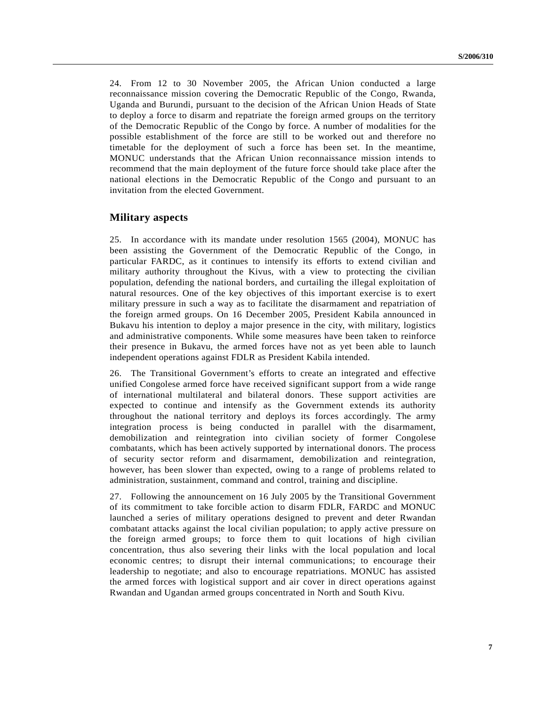24. From 12 to 30 November 2005, the African Union conducted a large reconnaissance mission covering the Democratic Republic of the Congo, Rwanda, Uganda and Burundi, pursuant to the decision of the African Union Heads of State to deploy a force to disarm and repatriate the foreign armed groups on the territory of the Democratic Republic of the Congo by force. A number of modalities for the possible establishment of the force are still to be worked out and therefore no timetable for the deployment of such a force has been set. In the meantime, MONUC understands that the African Union reconnaissance mission intends to recommend that the main deployment of the future force should take place after the national elections in the Democratic Republic of the Congo and pursuant to an invitation from the elected Government.

### **Military aspects**

25. In accordance with its mandate under resolution 1565 (2004), MONUC has been assisting the Government of the Democratic Republic of the Congo, in particular FARDC, as it continues to intensify its efforts to extend civilian and military authority throughout the Kivus, with a view to protecting the civilian population, defending the national borders, and curtailing the illegal exploitation of natural resources. One of the key objectives of this important exercise is to exert military pressure in such a way as to facilitate the disarmament and repatriation of the foreign armed groups. On 16 December 2005, President Kabila announced in Bukavu his intention to deploy a major presence in the city, with military, logistics and administrative components. While some measures have been taken to reinforce their presence in Bukavu, the armed forces have not as yet been able to launch independent operations against FDLR as President Kabila intended.

26. The Transitional Government's efforts to create an integrated and effective unified Congolese armed force have received significant support from a wide range of international multilateral and bilateral donors. These support activities are expected to continue and intensify as the Government extends its authority throughout the national territory and deploys its forces accordingly. The army integration process is being conducted in parallel with the disarmament, demobilization and reintegration into civilian society of former Congolese combatants, which has been actively supported by international donors. The process of security sector reform and disarmament, demobilization and reintegration, however, has been slower than expected, owing to a range of problems related to administration, sustainment, command and control, training and discipline.

27. Following the announcement on 16 July 2005 by the Transitional Government of its commitment to take forcible action to disarm FDLR, FARDC and MONUC launched a series of military operations designed to prevent and deter Rwandan combatant attacks against the local civilian population; to apply active pressure on the foreign armed groups; to force them to quit locations of high civilian concentration, thus also severing their links with the local population and local economic centres; to disrupt their internal communications; to encourage their leadership to negotiate; and also to encourage repatriations. MONUC has assisted the armed forces with logistical support and air cover in direct operations against Rwandan and Ugandan armed groups concentrated in North and South Kivu.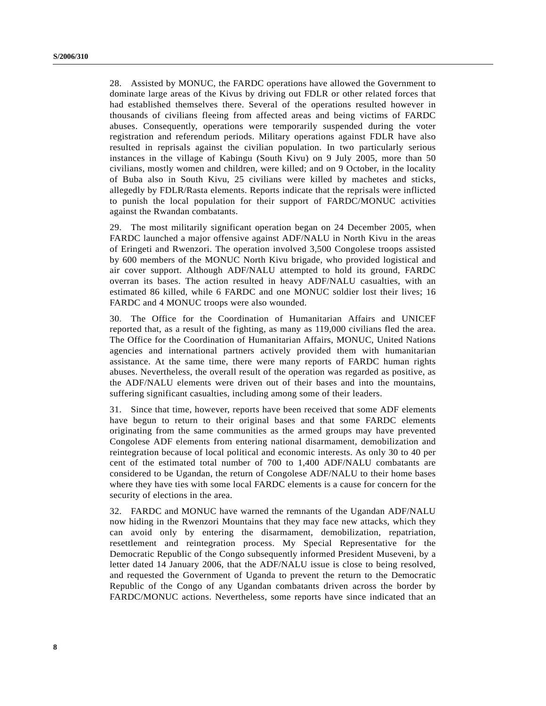28. Assisted by MONUC, the FARDC operations have allowed the Government to dominate large areas of the Kivus by driving out FDLR or other related forces that had established themselves there. Several of the operations resulted however in thousands of civilians fleeing from affected areas and being victims of FARDC abuses. Consequently, operations were temporarily suspended during the voter registration and referendum periods. Military operations against FDLR have also resulted in reprisals against the civilian population. In two particularly serious instances in the village of Kabingu (South Kivu) on 9 July 2005, more than 50 civilians, mostly women and children, were killed; and on 9 October, in the locality of Buba also in South Kivu, 25 civilians were killed by machetes and sticks, allegedly by FDLR/Rasta elements. Reports indicate that the reprisals were inflicted to punish the local population for their support of FARDC/MONUC activities against the Rwandan combatants.

29. The most militarily significant operation began on 24 December 2005, when FARDC launched a major offensive against ADF/NALU in North Kivu in the areas of Eringeti and Rwenzori. The operation involved 3,500 Congolese troops assisted by 600 members of the MONUC North Kivu brigade, who provided logistical and air cover support. Although ADF/NALU attempted to hold its ground, FARDC overran its bases. The action resulted in heavy ADF/NALU casualties, with an estimated 86 killed, while 6 FARDC and one MONUC soldier lost their lives; 16 FARDC and 4 MONUC troops were also wounded.

30. The Office for the Coordination of Humanitarian Affairs and UNICEF reported that, as a result of the fighting, as many as 119,000 civilians fled the area. The Office for the Coordination of Humanitarian Affairs, MONUC, United Nations agencies and international partners actively provided them with humanitarian assistance. At the same time, there were many reports of FARDC human rights abuses. Nevertheless, the overall result of the operation was regarded as positive, as the ADF/NALU elements were driven out of their bases and into the mountains, suffering significant casualties, including among some of their leaders.

31. Since that time, however, reports have been received that some ADF elements have begun to return to their original bases and that some FARDC elements originating from the same communities as the armed groups may have prevented Congolese ADF elements from entering national disarmament, demobilization and reintegration because of local political and economic interests. As only 30 to 40 per cent of the estimated total number of 700 to 1,400 ADF/NALU combatants are considered to be Ugandan, the return of Congolese ADF/NALU to their home bases where they have ties with some local FARDC elements is a cause for concern for the security of elections in the area.

32. FARDC and MONUC have warned the remnants of the Ugandan ADF/NALU now hiding in the Rwenzori Mountains that they may face new attacks, which they can avoid only by entering the disarmament, demobilization, repatriation, resettlement and reintegration process. My Special Representative for the Democratic Republic of the Congo subsequently informed President Museveni, by a letter dated 14 January 2006, that the ADF/NALU issue is close to being resolved, and requested the Government of Uganda to prevent the return to the Democratic Republic of the Congo of any Ugandan combatants driven across the border by FARDC/MONUC actions. Nevertheless, some reports have since indicated that an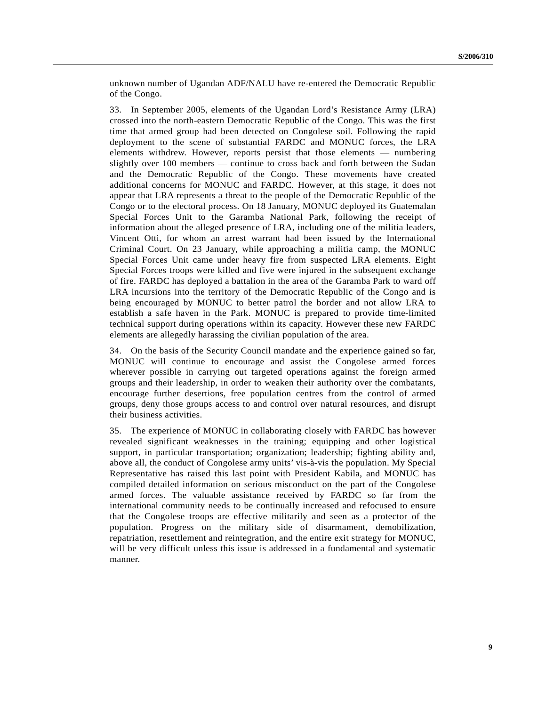unknown number of Ugandan ADF/NALU have re-entered the Democratic Republic of the Congo.

33. In September 2005, elements of the Ugandan Lord's Resistance Army (LRA) crossed into the north-eastern Democratic Republic of the Congo. This was the first time that armed group had been detected on Congolese soil. Following the rapid deployment to the scene of substantial FARDC and MONUC forces, the LRA elements withdrew. However, reports persist that those elements — numbering slightly over 100 members — continue to cross back and forth between the Sudan and the Democratic Republic of the Congo. These movements have created additional concerns for MONUC and FARDC. However, at this stage, it does not appear that LRA represents a threat to the people of the Democratic Republic of the Congo or to the electoral process. On 18 January, MONUC deployed its Guatemalan Special Forces Unit to the Garamba National Park, following the receipt of information about the alleged presence of LRA, including one of the militia leaders, Vincent Otti, for whom an arrest warrant had been issued by the International Criminal Court. On 23 January, while approaching a militia camp, the MONUC Special Forces Unit came under heavy fire from suspected LRA elements. Eight Special Forces troops were killed and five were injured in the subsequent exchange of fire. FARDC has deployed a battalion in the area of the Garamba Park to ward off LRA incursions into the territory of the Democratic Republic of the Congo and is being encouraged by MONUC to better patrol the border and not allow LRA to establish a safe haven in the Park. MONUC is prepared to provide time-limited technical support during operations within its capacity. However these new FARDC elements are allegedly harassing the civilian population of the area.

34. On the basis of the Security Council mandate and the experience gained so far, MONUC will continue to encourage and assist the Congolese armed forces wherever possible in carrying out targeted operations against the foreign armed groups and their leadership, in order to weaken their authority over the combatants, encourage further desertions, free population centres from the control of armed groups, deny those groups access to and control over natural resources, and disrupt their business activities.

35. The experience of MONUC in collaborating closely with FARDC has however revealed significant weaknesses in the training; equipping and other logistical support, in particular transportation; organization; leadership; fighting ability and, above all, the conduct of Congolese army units' vis-à-vis the population. My Special Representative has raised this last point with President Kabila, and MONUC has compiled detailed information on serious misconduct on the part of the Congolese armed forces. The valuable assistance received by FARDC so far from the international community needs to be continually increased and refocused to ensure that the Congolese troops are effective militarily and seen as a protector of the population. Progress on the military side of disarmament, demobilization, repatriation, resettlement and reintegration, and the entire exit strategy for MONUC, will be very difficult unless this issue is addressed in a fundamental and systematic manner.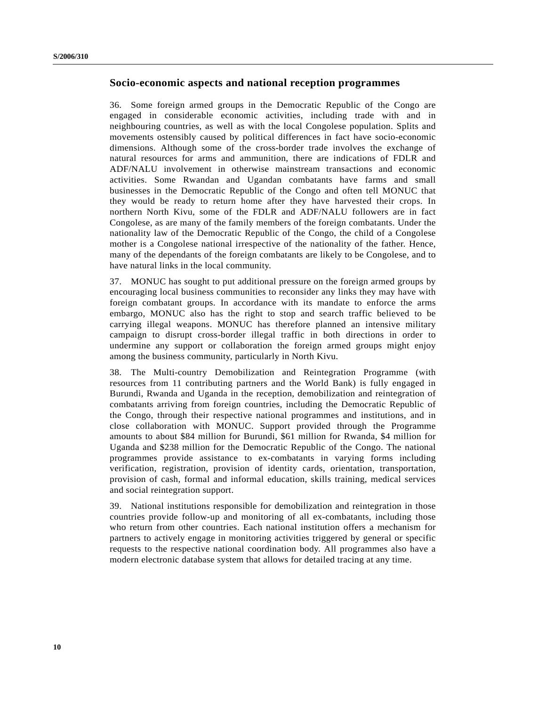### **Socio-economic aspects and national reception programmes**

36. Some foreign armed groups in the Democratic Republic of the Congo are engaged in considerable economic activities, including trade with and in neighbouring countries, as well as with the local Congolese population. Splits and movements ostensibly caused by political differences in fact have socio-economic dimensions. Although some of the cross-border trade involves the exchange of natural resources for arms and ammunition, there are indications of FDLR and ADF/NALU involvement in otherwise mainstream transactions and economic activities. Some Rwandan and Ugandan combatants have farms and small businesses in the Democratic Republic of the Congo and often tell MONUC that they would be ready to return home after they have harvested their crops. In northern North Kivu, some of the FDLR and ADF/NALU followers are in fact Congolese, as are many of the family members of the foreign combatants. Under the nationality law of the Democratic Republic of the Congo, the child of a Congolese mother is a Congolese national irrespective of the nationality of the father. Hence, many of the dependants of the foreign combatants are likely to be Congolese, and to have natural links in the local community.

37. MONUC has sought to put additional pressure on the foreign armed groups by encouraging local business communities to reconsider any links they may have with foreign combatant groups. In accordance with its mandate to enforce the arms embargo, MONUC also has the right to stop and search traffic believed to be carrying illegal weapons. MONUC has therefore planned an intensive military campaign to disrupt cross-border illegal traffic in both directions in order to undermine any support or collaboration the foreign armed groups might enjoy among the business community, particularly in North Kivu.

38. The Multi-country Demobilization and Reintegration Programme (with resources from 11 contributing partners and the World Bank) is fully engaged in Burundi, Rwanda and Uganda in the reception, demobilization and reintegration of combatants arriving from foreign countries, including the Democratic Republic of the Congo, through their respective national programmes and institutions, and in close collaboration with MONUC. Support provided through the Programme amounts to about \$84 million for Burundi, \$61 million for Rwanda, \$4 million for Uganda and \$238 million for the Democratic Republic of the Congo. The national programmes provide assistance to ex-combatants in varying forms including verification, registration, provision of identity cards, orientation, transportation, provision of cash, formal and informal education, skills training, medical services and social reintegration support.

39. National institutions responsible for demobilization and reintegration in those countries provide follow-up and monitoring of all ex-combatants, including those who return from other countries. Each national institution offers a mechanism for partners to actively engage in monitoring activities triggered by general or specific requests to the respective national coordination body. All programmes also have a modern electronic database system that allows for detailed tracing at any time.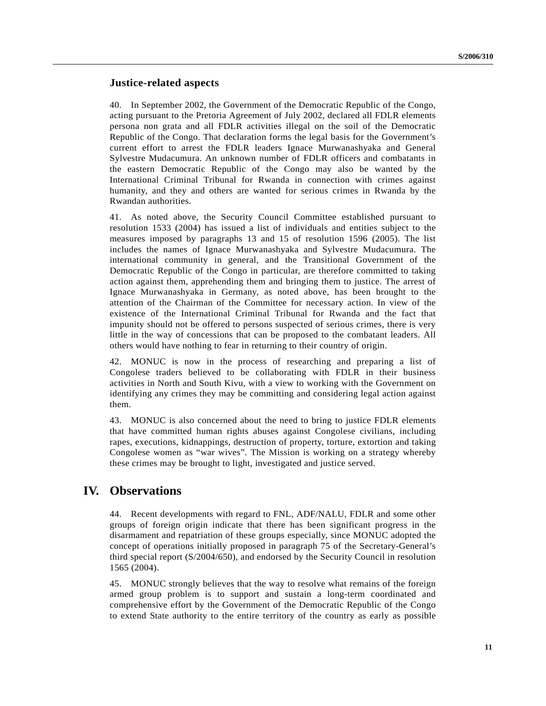### **Justice-related aspects**

40. In September 2002, the Government of the Democratic Republic of the Congo, acting pursuant to the Pretoria Agreement of July 2002, declared all FDLR elements persona non grata and all FDLR activities illegal on the soil of the Democratic Republic of the Congo. That declaration forms the legal basis for the Government's current effort to arrest the FDLR leaders Ignace Murwanashyaka and General Sylvestre Mudacumura. An unknown number of FDLR officers and combatants in the eastern Democratic Republic of the Congo may also be wanted by the International Criminal Tribunal for Rwanda in connection with crimes against humanity, and they and others are wanted for serious crimes in Rwanda by the Rwandan authorities.

41. As noted above, the Security Council Committee established pursuant to resolution 1533 (2004) has issued a list of individuals and entities subject to the measures imposed by paragraphs 13 and 15 of resolution 1596 (2005). The list includes the names of Ignace Murwanashyaka and Sylvestre Mudacumura. The international community in general, and the Transitional Government of the Democratic Republic of the Congo in particular, are therefore committed to taking action against them, apprehending them and bringing them to justice. The arrest of Ignace Murwanashyaka in Germany, as noted above, has been brought to the attention of the Chairman of the Committee for necessary action. In view of the existence of the International Criminal Tribunal for Rwanda and the fact that impunity should not be offered to persons suspected of serious crimes, there is very little in the way of concessions that can be proposed to the combatant leaders. All others would have nothing to fear in returning to their country of origin.

42. MONUC is now in the process of researching and preparing a list of Congolese traders believed to be collaborating with FDLR in their business activities in North and South Kivu, with a view to working with the Government on identifying any crimes they may be committing and considering legal action against them.

43. MONUC is also concerned about the need to bring to justice FDLR elements that have committed human rights abuses against Congolese civilians, including rapes, executions, kidnappings, destruction of property, torture, extortion and taking Congolese women as "war wives". The Mission is working on a strategy whereby these crimes may be brought to light, investigated and justice served.

## **IV. Observations**

44. Recent developments with regard to FNL, ADF/NALU, FDLR and some other groups of foreign origin indicate that there has been significant progress in the disarmament and repatriation of these groups especially, since MONUC adopted the concept of operations initially proposed in paragraph 75 of the Secretary-General's third special report (S/2004/650), and endorsed by the Security Council in resolution 1565 (2004).

45. MONUC strongly believes that the way to resolve what remains of the foreign armed group problem is to support and sustain a long-term coordinated and comprehensive effort by the Government of the Democratic Republic of the Congo to extend State authority to the entire territory of the country as early as possible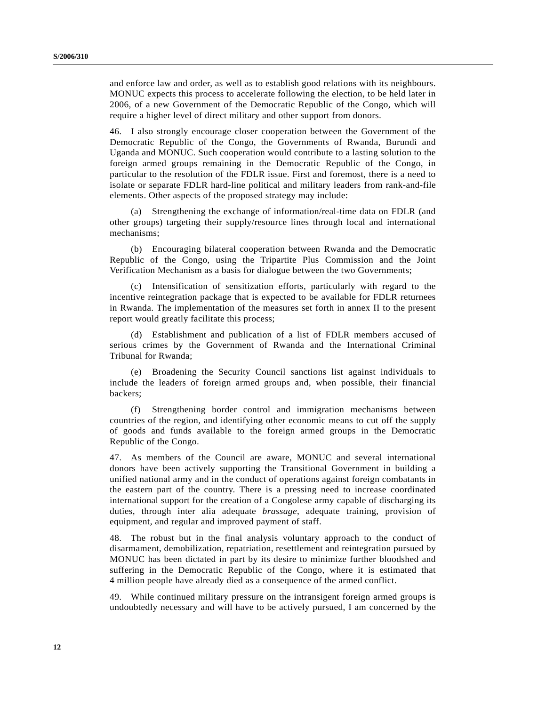and enforce law and order, as well as to establish good relations with its neighbours. MONUC expects this process to accelerate following the election, to be held later in 2006, of a new Government of the Democratic Republic of the Congo, which will require a higher level of direct military and other support from donors.

46. I also strongly encourage closer cooperation between the Government of the Democratic Republic of the Congo, the Governments of Rwanda, Burundi and Uganda and MONUC. Such cooperation would contribute to a lasting solution to the foreign armed groups remaining in the Democratic Republic of the Congo, in particular to the resolution of the FDLR issue. First and foremost, there is a need to isolate or separate FDLR hard-line political and military leaders from rank-and-file elements. Other aspects of the proposed strategy may include:

(a) Strengthening the exchange of information/real-time data on FDLR (and other groups) targeting their supply/resource lines through local and international mechanisms;

(b) Encouraging bilateral cooperation between Rwanda and the Democratic Republic of the Congo, using the Tripartite Plus Commission and the Joint Verification Mechanism as a basis for dialogue between the two Governments;

(c) Intensification of sensitization efforts, particularly with regard to the incentive reintegration package that is expected to be available for FDLR returnees in Rwanda. The implementation of the measures set forth in annex II to the present report would greatly facilitate this process;

(d) Establishment and publication of a list of FDLR members accused of serious crimes by the Government of Rwanda and the International Criminal Tribunal for Rwanda;

(e) Broadening the Security Council sanctions list against individuals to include the leaders of foreign armed groups and, when possible, their financial backers;

(f) Strengthening border control and immigration mechanisms between countries of the region, and identifying other economic means to cut off the supply of goods and funds available to the foreign armed groups in the Democratic Republic of the Congo.

47. As members of the Council are aware, MONUC and several international donors have been actively supporting the Transitional Government in building a unified national army and in the conduct of operations against foreign combatants in the eastern part of the country. There is a pressing need to increase coordinated international support for the creation of a Congolese army capable of discharging its duties, through inter alia adequate *brassage*, adequate training, provision of equipment, and regular and improved payment of staff.

48. The robust but in the final analysis voluntary approach to the conduct of disarmament, demobilization, repatriation, resettlement and reintegration pursued by MONUC has been dictated in part by its desire to minimize further bloodshed and suffering in the Democratic Republic of the Congo, where it is estimated that 4 million people have already died as a consequence of the armed conflict.

49. While continued military pressure on the intransigent foreign armed groups is undoubtedly necessary and will have to be actively pursued, I am concerned by the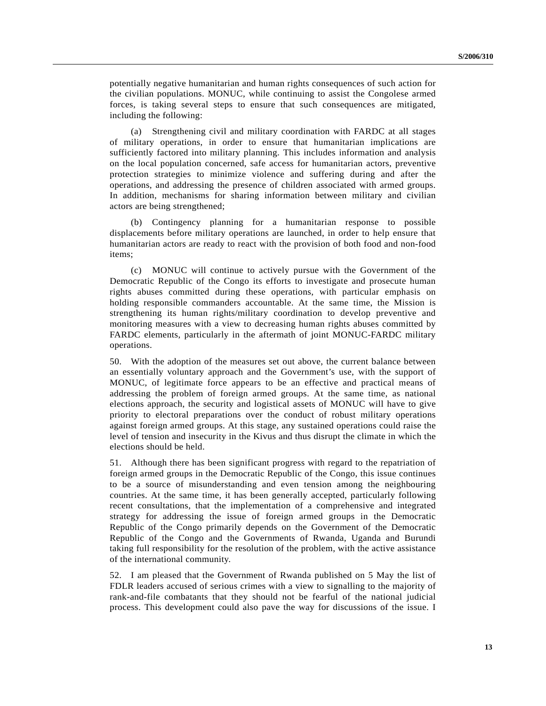potentially negative humanitarian and human rights consequences of such action for the civilian populations. MONUC, while continuing to assist the Congolese armed forces, is taking several steps to ensure that such consequences are mitigated, including the following:

(a) Strengthening civil and military coordination with FARDC at all stages of military operations, in order to ensure that humanitarian implications are sufficiently factored into military planning. This includes information and analysis on the local population concerned, safe access for humanitarian actors, preventive protection strategies to minimize violence and suffering during and after the operations, and addressing the presence of children associated with armed groups. In addition, mechanisms for sharing information between military and civilian actors are being strengthened;

(b) Contingency planning for a humanitarian response to possible displacements before military operations are launched, in order to help ensure that humanitarian actors are ready to react with the provision of both food and non-food items;

(c) MONUC will continue to actively pursue with the Government of the Democratic Republic of the Congo its efforts to investigate and prosecute human rights abuses committed during these operations, with particular emphasis on holding responsible commanders accountable. At the same time, the Mission is strengthening its human rights/military coordination to develop preventive and monitoring measures with a view to decreasing human rights abuses committed by FARDC elements, particularly in the aftermath of joint MONUC-FARDC military operations.

50. With the adoption of the measures set out above, the current balance between an essentially voluntary approach and the Government's use, with the support of MONUC, of legitimate force appears to be an effective and practical means of addressing the problem of foreign armed groups. At the same time, as national elections approach, the security and logistical assets of MONUC will have to give priority to electoral preparations over the conduct of robust military operations against foreign armed groups. At this stage, any sustained operations could raise the level of tension and insecurity in the Kivus and thus disrupt the climate in which the elections should be held.

51. Although there has been significant progress with regard to the repatriation of foreign armed groups in the Democratic Republic of the Congo, this issue continues to be a source of misunderstanding and even tension among the neighbouring countries. At the same time, it has been generally accepted, particularly following recent consultations, that the implementation of a comprehensive and integrated strategy for addressing the issue of foreign armed groups in the Democratic Republic of the Congo primarily depends on the Government of the Democratic Republic of the Congo and the Governments of Rwanda, Uganda and Burundi taking full responsibility for the resolution of the problem, with the active assistance of the international community.

52. I am pleased that the Government of Rwanda published on 5 May the list of FDLR leaders accused of serious crimes with a view to signalling to the majority of rank-and-file combatants that they should not be fearful of the national judicial process. This development could also pave the way for discussions of the issue. I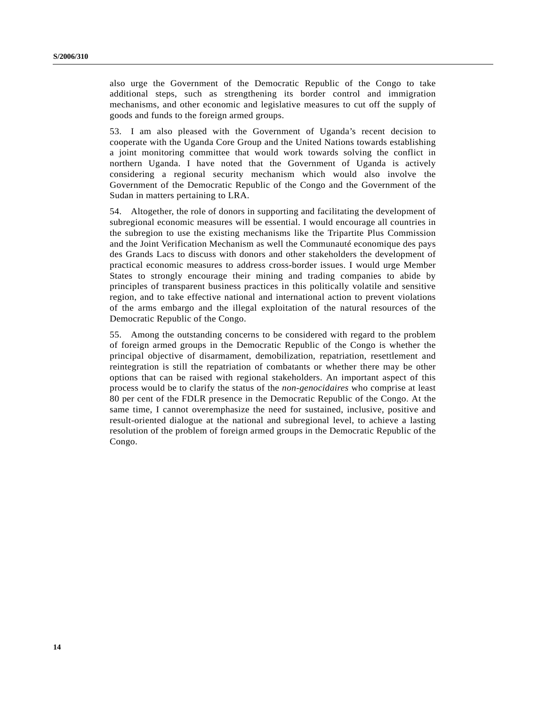also urge the Government of the Democratic Republic of the Congo to take additional steps, such as strengthening its border control and immigration mechanisms, and other economic and legislative measures to cut off the supply of goods and funds to the foreign armed groups.

53. I am also pleased with the Government of Uganda's recent decision to cooperate with the Uganda Core Group and the United Nations towards establishing a joint monitoring committee that would work towards solving the conflict in northern Uganda. I have noted that the Government of Uganda is actively considering a regional security mechanism which would also involve the Government of the Democratic Republic of the Congo and the Government of the Sudan in matters pertaining to LRA.

54. Altogether, the role of donors in supporting and facilitating the development of subregional economic measures will be essential. I would encourage all countries in the subregion to use the existing mechanisms like the Tripartite Plus Commission and the Joint Verification Mechanism as well the Communauté economique des pays des Grands Lacs to discuss with donors and other stakeholders the development of practical economic measures to address cross-border issues. I would urge Member States to strongly encourage their mining and trading companies to abide by principles of transparent business practices in this politically volatile and sensitive region, and to take effective national and international action to prevent violations of the arms embargo and the illegal exploitation of the natural resources of the Democratic Republic of the Congo.

55. Among the outstanding concerns to be considered with regard to the problem of foreign armed groups in the Democratic Republic of the Congo is whether the principal objective of disarmament, demobilization, repatriation, resettlement and reintegration is still the repatriation of combatants or whether there may be other options that can be raised with regional stakeholders. An important aspect of this process would be to clarify the status of the *non-genocidaires* who comprise at least 80 per cent of the FDLR presence in the Democratic Republic of the Congo. At the same time, I cannot overemphasize the need for sustained, inclusive, positive and result-oriented dialogue at the national and subregional level, to achieve a lasting resolution of the problem of foreign armed groups in the Democratic Republic of the Congo.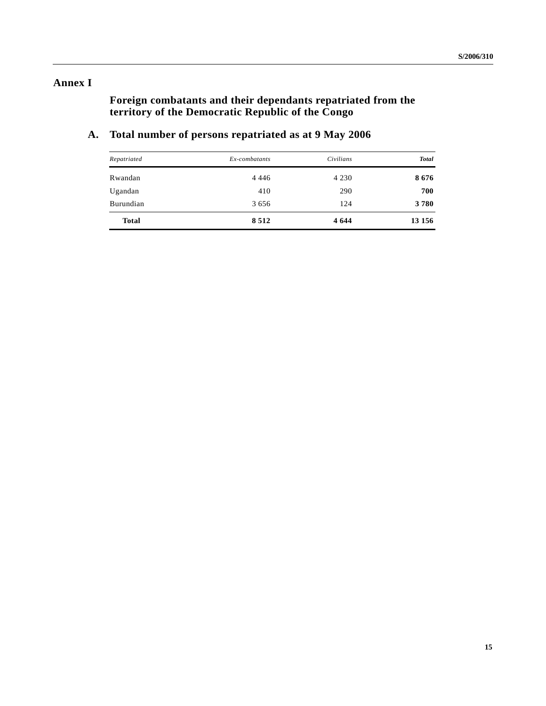# **Annex I**

**Foreign combatants and their dependants repatriated from the territory of the Democratic Republic of the Congo**

# **A. Total number of persons repatriated as at 9 May 2006**

| Repatriated  | Ex-combatants | Civilians | <b>Total</b> |
|--------------|---------------|-----------|--------------|
| Rwandan      | 4 4 4 6       | 4 2 3 0   | 8676         |
| Ugandan      | 410           | 290       | 700          |
| Burundian    | 3656          | 124       | 3780         |
| <b>Total</b> | 8512          | 4 6 4 4   | 13 15 6      |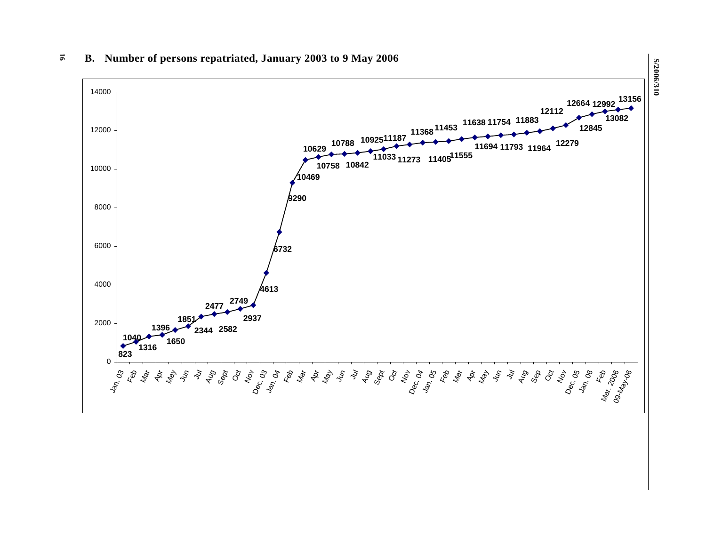

## **B. Number of persons repatriated, January 2003 to 9 May 2006**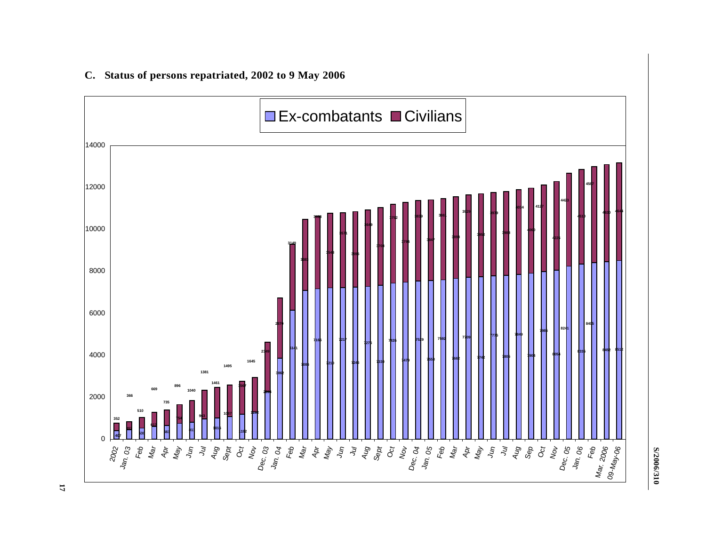## **C. Status of persons repatriated, 2002 to 9 May 2006**



**S/2006/310**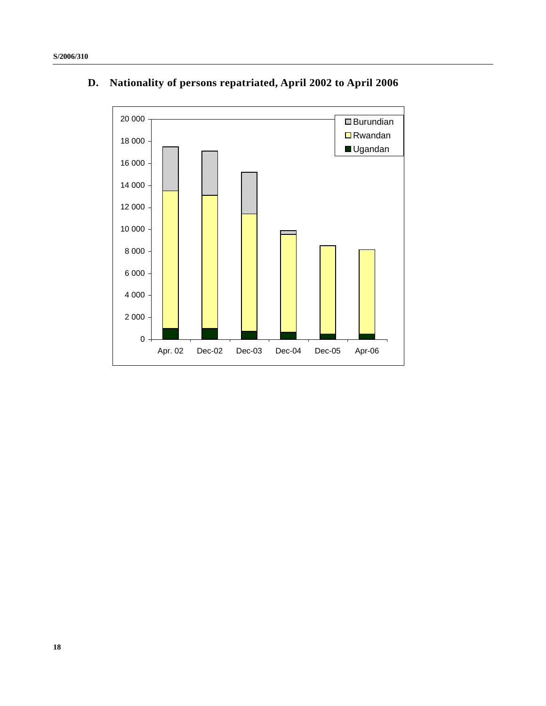

# **D. Nationality of persons repatriated, April 2002 to April 2006**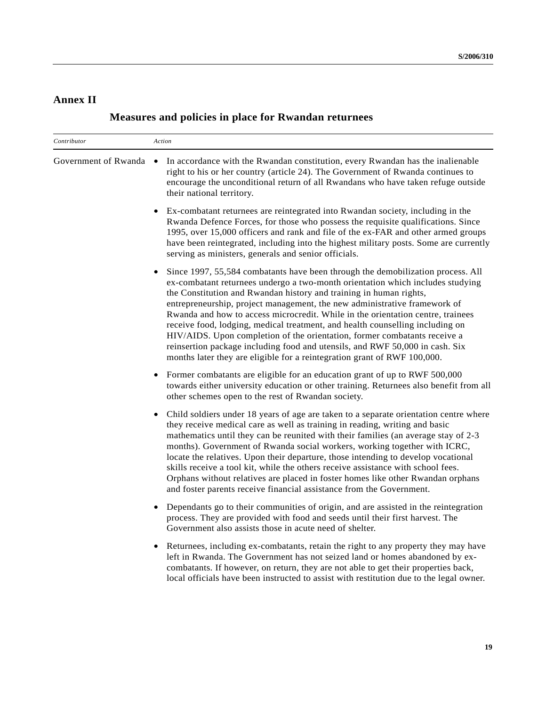# **Annex II**

| Contributor | Action                                                                                                                                                                                                                                                                                                                                                                                                                                                                                                                                                                                                                                                                                                                            |
|-------------|-----------------------------------------------------------------------------------------------------------------------------------------------------------------------------------------------------------------------------------------------------------------------------------------------------------------------------------------------------------------------------------------------------------------------------------------------------------------------------------------------------------------------------------------------------------------------------------------------------------------------------------------------------------------------------------------------------------------------------------|
|             | Government of Rwanda • In accordance with the Rwandan constitution, every Rwandan has the inalienable<br>right to his or her country (article 24). The Government of Rwanda continues to<br>encourage the unconditional return of all Rwandans who have taken refuge outside<br>their national territory.                                                                                                                                                                                                                                                                                                                                                                                                                         |
|             | Ex-combatant returnees are reintegrated into Rwandan society, including in the<br>$\bullet$<br>Rwanda Defence Forces, for those who possess the requisite qualifications. Since<br>1995, over 15,000 officers and rank and file of the ex-FAR and other armed groups<br>have been reintegrated, including into the highest military posts. Some are currently<br>serving as ministers, generals and senior officials.                                                                                                                                                                                                                                                                                                             |
|             | Since 1997, 55,584 combatants have been through the demobilization process. All<br>ex-combatant returnees undergo a two-month orientation which includes studying<br>the Constitution and Rwandan history and training in human rights,<br>entrepreneurship, project management, the new administrative framework of<br>Rwanda and how to access microcredit. While in the orientation centre, trainees<br>receive food, lodging, medical treatment, and health counselling including on<br>HIV/AIDS. Upon completion of the orientation, former combatants receive a<br>reinsertion package including food and utensils, and RWF 50,000 in cash. Six<br>months later they are eligible for a reintegration grant of RWF 100,000. |
|             | Former combatants are eligible for an education grant of up to RWF 500,000<br>$\bullet$<br>towards either university education or other training. Returnees also benefit from all<br>other schemes open to the rest of Rwandan society.                                                                                                                                                                                                                                                                                                                                                                                                                                                                                           |
|             | Child soldiers under 18 years of age are taken to a separate orientation centre where<br>they receive medical care as well as training in reading, writing and basic<br>mathematics until they can be reunited with their families (an average stay of 2-3<br>months). Government of Rwanda social workers, working together with ICRC,<br>locate the relatives. Upon their departure, those intending to develop vocational<br>skills receive a tool kit, while the others receive assistance with school fees.<br>Orphans without relatives are placed in foster homes like other Rwandan orphans<br>and foster parents receive financial assistance from the Government.                                                       |
|             | Dependants go to their communities of origin, and are assisted in the reintegration<br>process. They are provided with food and seeds until their first harvest. The<br>Government also assists those in acute need of shelter.                                                                                                                                                                                                                                                                                                                                                                                                                                                                                                   |
|             | Returnees, including ex-combatants, retain the right to any property they may have<br>$\bullet$<br>left in Rwanda. The Government has not seized land or homes abandoned by ex-<br>combatants. If however, on return, they are not able to get their properties back,<br>local officials have been instructed to assist with restitution due to the legal owner.                                                                                                                                                                                                                                                                                                                                                                  |

# **Measures and policies in place for Rwandan returnees**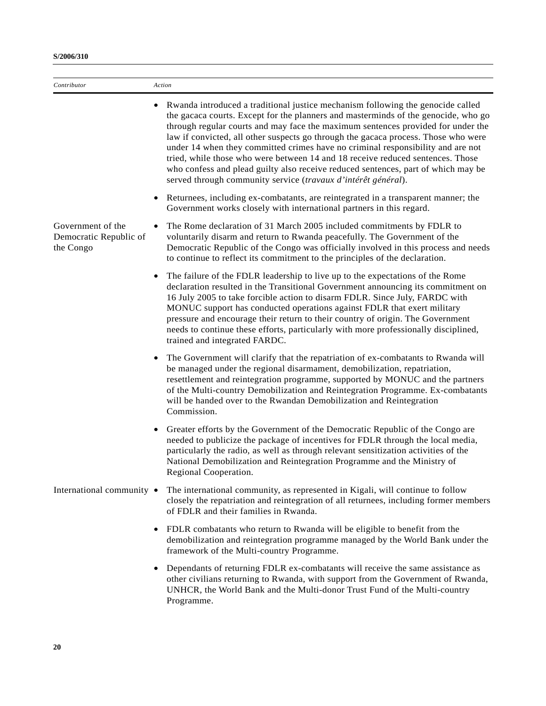| Contributor                                              | Action                                                                                                                                                                                                                                                                                                                                                                                                                                                                                                                                                                                                                                                                     |
|----------------------------------------------------------|----------------------------------------------------------------------------------------------------------------------------------------------------------------------------------------------------------------------------------------------------------------------------------------------------------------------------------------------------------------------------------------------------------------------------------------------------------------------------------------------------------------------------------------------------------------------------------------------------------------------------------------------------------------------------|
|                                                          | Rwanda introduced a traditional justice mechanism following the genocide called<br>the gacaca courts. Except for the planners and masterminds of the genocide, who go<br>through regular courts and may face the maximum sentences provided for under the<br>law if convicted, all other suspects go through the gacaca process. Those who were<br>under 14 when they committed crimes have no criminal responsibility and are not<br>tried, while those who were between 14 and 18 receive reduced sentences. Those<br>who confess and plead guilty also receive reduced sentences, part of which may be<br>served through community service (travaux d'intérêt général). |
|                                                          | Returnees, including ex-combatants, are reintegrated in a transparent manner; the<br>Government works closely with international partners in this regard.                                                                                                                                                                                                                                                                                                                                                                                                                                                                                                                  |
| Government of the<br>Democratic Republic of<br>the Congo | The Rome declaration of 31 March 2005 included commitments by FDLR to<br>voluntarily disarm and return to Rwanda peacefully. The Government of the<br>Democratic Republic of the Congo was officially involved in this process and needs<br>to continue to reflect its commitment to the principles of the declaration.                                                                                                                                                                                                                                                                                                                                                    |
|                                                          | The failure of the FDLR leadership to live up to the expectations of the Rome<br>declaration resulted in the Transitional Government announcing its commitment on<br>16 July 2005 to take forcible action to disarm FDLR. Since July, FARDC with<br>MONUC support has conducted operations against FDLR that exert military<br>pressure and encourage their return to their country of origin. The Government<br>needs to continue these efforts, particularly with more professionally disciplined,<br>trained and integrated FARDC.                                                                                                                                      |
|                                                          | The Government will clarify that the repatriation of ex-combatants to Rwanda will<br>be managed under the regional disarmament, demobilization, repatriation,<br>resettlement and reintegration programme, supported by MONUC and the partners<br>of the Multi-country Demobilization and Reintegration Programme. Ex-combatants<br>will be handed over to the Rwandan Demobilization and Reintegration<br>Commission.                                                                                                                                                                                                                                                     |
|                                                          | Greater efforts by the Government of the Democratic Republic of the Congo are<br>needed to publicize the package of incentives for FDLR through the local media,<br>particularly the radio, as well as through relevant sensitization activities of the<br>National Demobilization and Reintegration Programme and the Ministry of<br>Regional Cooperation.                                                                                                                                                                                                                                                                                                                |
| International community •                                | The international community, as represented in Kigali, will continue to follow<br>closely the repatriation and reintegration of all returnees, including former members<br>of FDLR and their families in Rwanda.                                                                                                                                                                                                                                                                                                                                                                                                                                                           |
|                                                          | FDLR combatants who return to Rwanda will be eligible to benefit from the<br>demobilization and reintegration programme managed by the World Bank under the<br>framework of the Multi-country Programme.                                                                                                                                                                                                                                                                                                                                                                                                                                                                   |
|                                                          | Dependants of returning FDLR ex-combatants will receive the same assistance as<br>other civilians returning to Rwanda, with support from the Government of Rwanda,<br>UNHCR, the World Bank and the Multi-donor Trust Fund of the Multi-country<br>Programme.                                                                                                                                                                                                                                                                                                                                                                                                              |